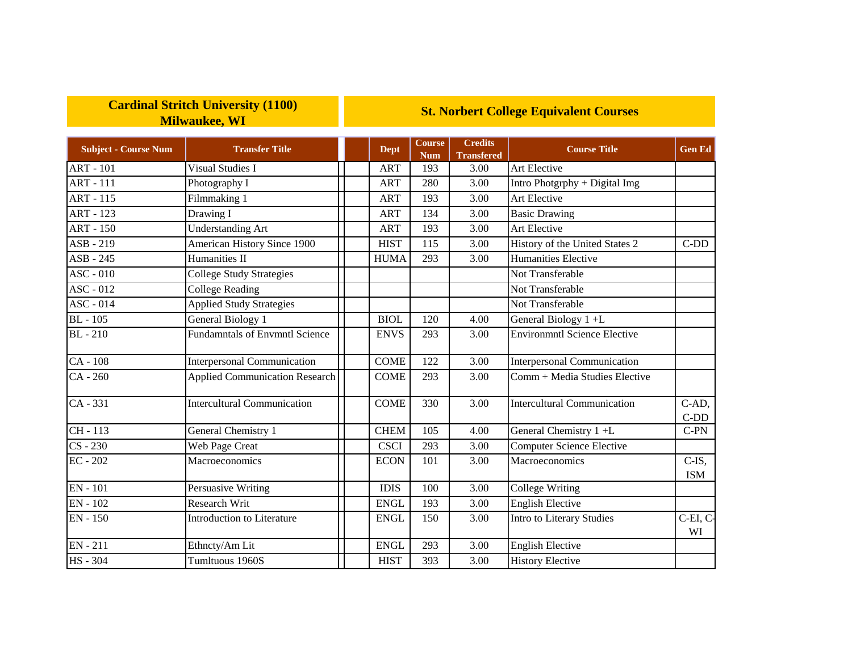## **Cardinal Stritch University (1100) Milwaukee, WI**

## **St. Norbert College Equivalent Courses**

| <b>Subject - Course Num</b> | <b>Transfer Title</b>                 | <b>Dept</b> | <b>Course</b><br><b>Num</b> | <b>Credits</b><br><b>Transfered</b> | <b>Course Title</b>                 | <b>Gen Ed</b>        |
|-----------------------------|---------------------------------------|-------------|-----------------------------|-------------------------------------|-------------------------------------|----------------------|
| <b>ART - 101</b>            | <b>Visual Studies I</b>               | ART         | 193                         | 3.00                                | Art Elective                        |                      |
| <b>ART - 111</b>            | Photography I                         | <b>ART</b>  | 280                         | 3.00                                | Intro Photgrphy + Digital Img       |                      |
| <b>ART - 115</b>            | Filmmaking 1                          | <b>ART</b>  | 193                         | 3.00                                | Art Elective                        |                      |
| <b>ART - 123</b>            | Drawing I                             | <b>ART</b>  | 134                         | 3.00                                | <b>Basic Drawing</b>                |                      |
| <b>ART - 150</b>            | <b>Understanding Art</b>              | <b>ART</b>  | 193                         | 3.00                                | Art Elective                        |                      |
| ASB - 219                   | American History Since 1900           | <b>HIST</b> | 115                         | 3.00                                | History of the United States 2      | $C-DD$               |
| ASB - 245                   | Humanities II                         | <b>HUMA</b> | 293                         | 3.00                                | <b>Humanities Elective</b>          |                      |
| $ASC - 010$                 | <b>College Study Strategies</b>       |             |                             |                                     | Not Transferable                    |                      |
| ASC - 012                   | <b>College Reading</b>                |             |                             |                                     | Not Transferable                    |                      |
| ASC - 014                   | <b>Applied Study Strategies</b>       |             |                             |                                     | Not Transferable                    |                      |
| <b>BL</b> - 105             | General Biology 1                     | <b>BIOL</b> | 120                         | 4.00                                | General Biology 1+L                 |                      |
| <b>BL</b> - 210             | <b>Fundamntals of Envmntl Science</b> | <b>ENVS</b> | 293                         | 3.00                                | <b>Environmntl Science Elective</b> |                      |
| CA - 108                    | <b>Interpersonal Communication</b>    | <b>COME</b> | 122                         | 3.00                                | <b>Interpersonal Communication</b>  |                      |
| $CA - 260$                  | <b>Applied Communication Research</b> | <b>COME</b> | 293                         | 3.00                                | Comm + Media Studies Elective       |                      |
| CA - 331                    | <b>Intercultural Communication</b>    | <b>COME</b> | 330                         | 3.00                                | <b>Intercultural Communication</b>  | C-AD,<br>$C-DD$      |
| CH - 113                    | General Chemistry 1                   | <b>CHEM</b> | 105                         | 4.00                                | General Chemistry 1 +L              | $C-PN$               |
| $CS - 230$                  | Web Page Creat                        | <b>CSCI</b> | 293                         | 3.00                                | <b>Computer Science Elective</b>    |                      |
| $EC - 202$                  | Macroeconomics                        | <b>ECON</b> | 101                         | 3.00                                | Macroeconomics                      | $C-IS$<br><b>ISM</b> |
| EN - 101                    | Persuasive Writing                    | <b>IDIS</b> | 100                         | 3.00                                | <b>College Writing</b>              |                      |
| EN - 102                    | <b>Research Writ</b>                  | <b>ENGL</b> | 193                         | 3.00                                | <b>English Elective</b>             |                      |
| <b>EN-150</b>               | <b>Introduction to Literature</b>     | <b>ENGL</b> | 150                         | 3.00                                | Intro to Literary Studies           | C-EI, C-<br>WI       |
| EN - 211                    | Ethncty/Am Lit                        | <b>ENGL</b> | 293                         | 3.00                                | <b>English Elective</b>             |                      |
| HS - 304                    | Tumltuous 1960S                       | <b>HIST</b> | 393                         | 3.00                                | <b>History Elective</b>             |                      |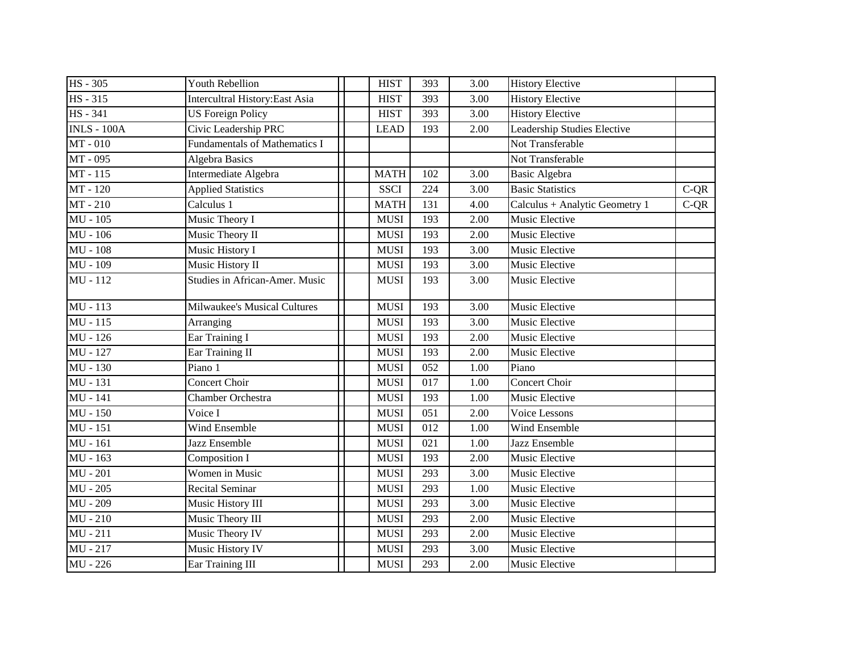| <b>HS</b> - 305       | <b>Youth Rebellion</b>                | <b>HIST</b> | 393 | 3.00 | <b>History Elective</b>        |        |
|-----------------------|---------------------------------------|-------------|-----|------|--------------------------------|--------|
| $HS - 315$            | <b>Intercultral History:East Asia</b> | <b>HIST</b> | 393 | 3.00 | <b>History Elective</b>        |        |
| <b>HS</b> - 341       | <b>US Foreign Policy</b>              | <b>HIST</b> | 393 | 3.00 | <b>History Elective</b>        |        |
| <b>INLS - 100A</b>    | Civic Leadership PRC                  | <b>LEAD</b> | 193 | 2.00 | Leadership Studies Elective    |        |
| MT-010                | <b>Fundamentals of Mathematics I</b>  |             |     |      | Not Transferable               |        |
| MT-095                | <b>Algebra Basics</b>                 |             |     |      | Not Transferable               |        |
| MT-115                | Intermediate Algebra                  | <b>MATH</b> | 102 | 3.00 | <b>Basic Algebra</b>           |        |
| MT-120                | <b>Applied Statistics</b>             | <b>SSCI</b> | 224 | 3.00 | <b>Basic Statistics</b>        | $C-QR$ |
| MT-210                | Calculus 1                            | <b>MATH</b> | 131 | 4.00 | Calculus + Analytic Geometry 1 | $C-QR$ |
| $MU - 105$            | Music Theory I                        | <b>MUSI</b> | 193 | 2.00 | Music Elective                 |        |
| MU - 106              | Music Theory II                       | <b>MUSI</b> | 193 | 2.00 | Music Elective                 |        |
| MU - 108              | Music History I                       | <b>MUSI</b> | 193 | 3.00 | Music Elective                 |        |
| MU - 109              | Music History II                      | <b>MUSI</b> | 193 | 3.00 | Music Elective                 |        |
| MU - 112              | Studies in African-Amer. Music        | <b>MUSI</b> | 193 | 3.00 | Music Elective                 |        |
| MU - 113              | Milwaukee's Musical Cultures          | <b>MUSI</b> | 193 | 3.00 | Music Elective                 |        |
| $MU - 115$            | Arranging                             | <b>MUSI</b> | 193 | 3.00 | Music Elective                 |        |
| MU - 126              | Ear Training I                        | <b>MUSI</b> | 193 | 2.00 | Music Elective                 |        |
| MU - 127              | Ear Training II                       | <b>MUSI</b> | 193 | 2.00 | Music Elective                 |        |
| MU - 130              | Piano 1                               | <b>MUSI</b> | 052 | 1.00 | Piano                          |        |
| MU - 131              | <b>Concert Choir</b>                  | <b>MUSI</b> | 017 | 1.00 | Concert Choir                  |        |
| $\overline{MU - 141}$ | Chamber Orchestra                     | <b>MUSI</b> | 193 | 1.00 | Music Elective                 |        |
| $MU - 150$            | Voice I                               | <b>MUSI</b> | 051 | 2.00 | Voice Lessons                  |        |
| MU - 151              | <b>Wind Ensemble</b>                  | <b>MUSI</b> | 012 | 1.00 | Wind Ensemble                  |        |
| MU - 161              | Jazz Ensemble                         | <b>MUSI</b> | 021 | 1.00 | <b>Jazz Ensemble</b>           |        |
| $MU - 163$            | Composition I                         | <b>MUSI</b> | 193 | 2.00 | Music Elective                 |        |
| <b>MU - 201</b>       | Women in Music                        | <b>MUSI</b> | 293 | 3.00 | Music Elective                 |        |
| $MU - 205$            | Recital Seminar                       | <b>MUSI</b> | 293 | 1.00 | Music Elective                 |        |
| <b>MU - 209</b>       | Music History III                     | <b>MUSI</b> | 293 | 3.00 | Music Elective                 |        |
| $MU - 210$            | Music Theory III                      | <b>MUSI</b> | 293 | 2.00 | Music Elective                 |        |
| MU - 211              | Music Theory IV                       | <b>MUSI</b> | 293 | 2.00 | Music Elective                 |        |
| MU - 217              | Music History IV                      | <b>MUSI</b> | 293 | 3.00 | Music Elective                 |        |
| MU - 226              | Ear Training III                      | <b>MUSI</b> | 293 | 2.00 | Music Elective                 |        |